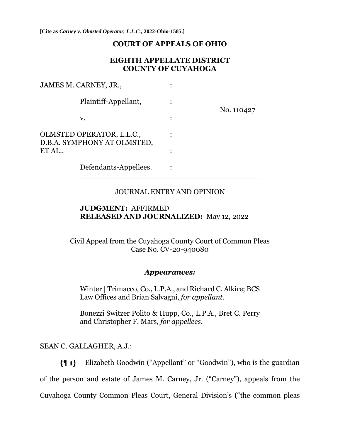**[Cite as** *Carney v. Olmsted Operator, L.L.C.***, 2022-Ohio-1585.]**

#### **COURT OF APPEALS OF OHIO**

### **EIGHTH APPELLATE DISTRICT COUNTY OF CUYAHOGA**

| JAMES M. CARNEY, JR.,                                    |  |            |
|----------------------------------------------------------|--|------------|
| Plaintiff-Appellant,                                     |  | No. 110427 |
| v.                                                       |  |            |
| OLMSTED OPERATOR, L.L.C.,<br>D.B.A. SYMPHONY AT OLMSTED, |  |            |
| ET AL.,                                                  |  |            |
| Defendants-Appellees.                                    |  |            |

#### JOURNAL ENTRY AND OPINION

### **JUDGMENT:** AFFIRMED **RELEASED AND JOURNALIZED:** May 12, 2022

Civil Appeal from the Cuyahoga County Court of Common Pleas Case No. CV-20-940080

#### *Appearances:*

Winter | Trimacco, Co., L.P.A., and Richard C. Alkire; BCS Law Offices and Brian Salvagni, *for appellant*.

Bonezzi Switzer Polito & Hupp, Co., L.P.A., Bret C. Perry and Christopher F. Mars, *for appellees*.

SEAN C. GALLAGHER, A.J.:

Elizabeth Goodwin ("Appellant" or "Goodwin"), who is the guardian  $\{ \parallel 1 \}$ of the person and estate of James M. Carney, Jr. ("Carney"), appeals from the Cuyahoga County Common Pleas Court, General Division's ("the common pleas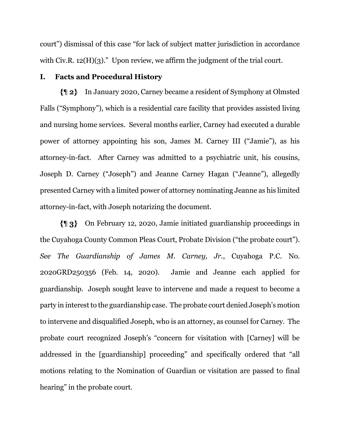court") dismissal of this case "for lack of subject matter jurisdiction in accordance with Civ.R.  $12(H)(3)$ ." Upon review, we affirm the judgment of the trial court.

#### **I. Facts and Procedural History**

In January 2020, Carney became a resident of Symphony at Olmsted Falls ("Symphony"), which is a residential care facility that provides assisted living and nursing home services. Several months earlier, Carney had executed a durable power of attorney appointing his son, James M. Carney III ("Jamie"), as his attorney-in-fact. After Carney was admitted to a psychiatric unit, his cousins, Joseph D. Carney ("Joseph") and Jeanne Carney Hagan ("Jeanne"), allegedly presented Carney with a limited power of attorney nominating Jeanne as his limited attorney-in-fact, with Joseph notarizing the document.

On February 12, 2020, Jamie initiated guardianship proceedings in the Cuyahoga County Common Pleas Court, Probate Division ("the probate court"). *See The Guardianship of James M. Carney, Jr.*, Cuyahoga P.C. No. 2020GRD250356 (Feb. 14, 2020). Jamie and Jeanne each applied for guardianship. Joseph sought leave to intervene and made a request to become a party in interest to the guardianship case. The probate court denied Joseph's motion to intervene and disqualified Joseph, who is an attorney, as counsel for Carney. The probate court recognized Joseph's "concern for visitation with [Carney] will be addressed in the [guardianship] proceeding" and specifically ordered that "all motions relating to the Nomination of Guardian or visitation are passed to final hearing" in the probate court.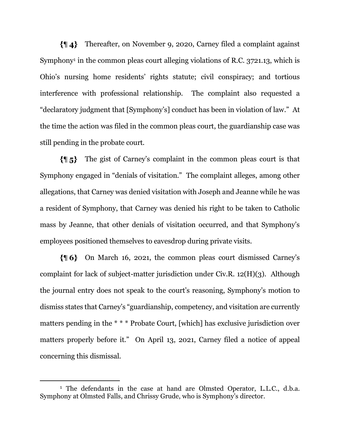Thereafter, on November 9, 2020, Carney filed a complaint against {¶4}-Symphony<sup>1</sup> in the common pleas court alleging violations of R.C. 3721.13, which is Ohio's nursing home residents' rights statute; civil conspiracy; and tortious interference with professional relationship. The complaint also requested a "declaratory judgment that [Symphony's] conduct has been in violation of law." At the time the action was filed in the common pleas court, the guardianship case was still pending in the probate court.

The gist of Carney's complaint in the common pleas court is that {¶5}. Symphony engaged in "denials of visitation." The complaint alleges, among other allegations, that Carney was denied visitation with Joseph and Jeanne while he was a resident of Symphony, that Carney was denied his right to be taken to Catholic mass by Jeanne, that other denials of visitation occurred, and that Symphony's employees positioned themselves to eavesdrop during private visits.

 $\{ \parallel 6 \}$  On March 16, 2021, the common pleas court dismissed Carney's complaint for lack of subject-matter jurisdiction under Civ.R. 12(H)(3). Although the journal entry does not speak to the court's reasoning, Symphony's motion to dismiss states that Carney's "guardianship, competency, and visitation are currently matters pending in the \* \* \* Probate Court, [which] has exclusive jurisdiction over matters properly before it." On April 13, 2021, Carney filed a notice of appeal concerning this dismissal.

<sup>&</sup>lt;sup>1</sup> The defendants in the case at hand are Olmsted Operator, L.L.C., d.b.a. Symphony at Olmsted Falls, and Chrissy Grude, who is Symphony's director.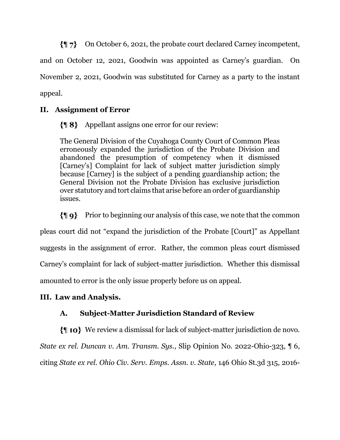{¶ 7} On October 6, 2021, the probate court declared Carney incompetent,

and on October 12, 2021, Goodwin was appointed as Carney's guardian. On

November 2, 2021, Goodwin was substituted for Carney as a party to the instant appeal.

# **II. Assignment of Error**

**{**| **8**} Appellant assigns one error for our review:

The General Division of the Cuyahoga County Court of Common Pleas erroneously expanded the jurisdiction of the Probate Division and abandoned the presumption of competency when it dismissed [Carney's] Complaint for lack of subject matter jurisdiction simply because [Carney] is the subject of a pending guardianship action; the General Division not the Probate Division has exclusive jurisdiction over statutory and tort claims that arise before an order of guardianship issues.

 $\{\P\}$  Prior to beginning our analysis of this case, we note that the common pleas court did not "expand the jurisdiction of the Probate [Court]" as Appellant suggests in the assignment of error. Rather, the common pleas court dismissed Carney's complaint for lack of subject-matter jurisdiction. Whether this dismissal amounted to error is the only issue properly before us on appeal.

# **III. Law and Analysis.**

# **A. Subject-Matter Jurisdiction Standard of Review**

We review a dismissal for lack of subject-matter jurisdiction de novo. *State ex rel. Duncan v. Am. Transm. Sys.*, Slip Opinion No. 2022-Ohio-323, ¶ 6, citing *State ex rel. Ohio Civ. Serv. Emps. Assn. v. State*, 146 Ohio St.3d 315, 2016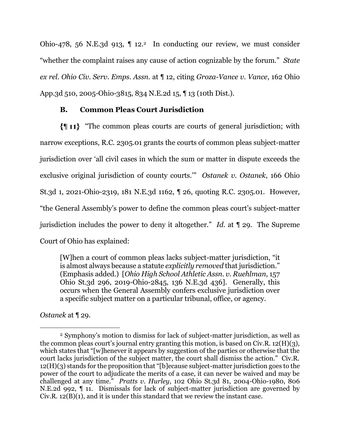Ohio-478, 56 N.E.3d 913,  $\P$  12.<sup>2</sup> In conducting our review, we must consider "whether the complaint raises any cause of action cognizable by the forum." *State ex rel. Ohio Civ. Serv. Emps. Assn.* at ¶ 12, citing *Groza-Vance v. Vance*, 162 Ohio App.3d 510, 2005-Ohio-3815, 834 N.E.2d 15, ¶ 13 (10th Dist.).

### **B. Common Pleas Court Jurisdiction**

"The common pleas courts are courts of general jurisdiction; with narrow exceptions, R.C. 2305.01 grants the courts of common pleas subject-matter jurisdiction over 'all civil cases in which the sum or matter in dispute exceeds the exclusive original jurisdiction of county courts.'" *Ostanek v. Ostanek*, 166 Ohio St.3d 1, 2021-Ohio-2319, 181 N.E.3d 1162, ¶ 26, quoting R.C. 2305.01. However, "the General Assembly's power to define the common pleas court's subject-matter jurisdiction includes the power to deny it altogether." *Id*. at ¶ 29. The Supreme Court of Ohio has explained:

[W]hen a court of common pleas lacks subject-matter jurisdiction, "it is almost always because a statute *explicitly removed* that jurisdiction." (Emphasis added.) [*Ohio High School Athletic Assn. v. Ruehlman*, 157 Ohio St.3d 296, 2019-Ohio-2845, 136 N.E.3d 436]. Generally, this occurs when the General Assembly confers exclusive jurisdiction over a specific subject matter on a particular tribunal, office, or agency.

*Ostanek* at ¶ 29.

<sup>2</sup> Symphony's motion to dismiss for lack of subject-matter jurisdiction, as well as the common pleas court's journal entry granting this motion, is based on Civ.R. 12(H)(3), which states that "[w]henever it appears by suggestion of the parties or otherwise that the court lacks jurisdiction of the subject matter, the court shall dismiss the action." Civ.R. 12(H)(3) stands for the proposition that "[b]ecause subject-matter jurisdiction goes to the power of the court to adjudicate the merits of a case, it can never be waived and may be challenged at any time." *Pratts v. Hurley*, 102 Ohio St.3d 81, 2004-Ohio-1980, 806 N.E.2d 992, ¶ 11. Dismissals for lack of subject-matter jurisdiction are governed by Civ.R. 12(B)(1), and it is under this standard that we review the instant case.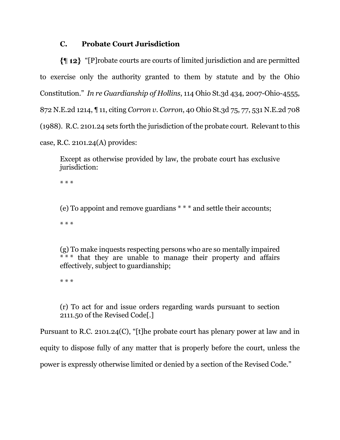## **C. Probate Court Jurisdiction**

"[P]robate courts are courts of limited jurisdiction and are permitted to exercise only the authority granted to them by statute and by the Ohio Constitution." *In re Guardianship of Hollins*, 114 Ohio St.3d 434, 2007-Ohio-4555, 872 N.E.2d 1214, ¶ 11, citing *Corron v. Corron*, 40 Ohio St.3d 75, 77, 531 N.E.2d 708 (1988). R.C. 2101.24 sets forth the jurisdiction of the probate court. Relevant to this case, R.C. 2101.24(A) provides:

Except as otherwise provided by law, the probate court has exclusive jurisdiction:

\* \* \*

(e) To appoint and remove guardians \* \* \* and settle their accounts;

\* \* \*

(g) To make inquests respecting persons who are so mentally impaired \* \* \* that they are unable to manage their property and affairs effectively, subject to guardianship;

\* \* \*

(r) To act for and issue orders regarding wards pursuant to section 2111.50 of the Revised Code[.]

Pursuant to R.C. 2101.24(C), "[t]he probate court has plenary power at law and in equity to dispose fully of any matter that is properly before the court, unless the power is expressly otherwise limited or denied by a section of the Revised Code."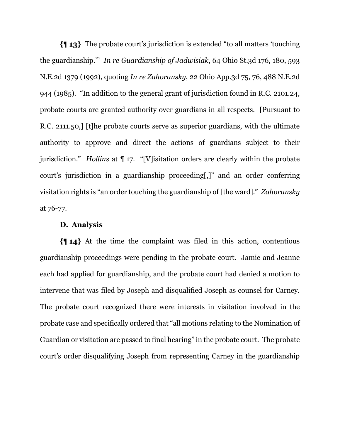The probate court's jurisdiction is extended "to all matters 'touching the guardianship.'" *In re Guardianship of Jadwisiak*, 64 Ohio St.3d 176, 180, 593 N.E.2d 1379 (1992), quoting *In re Zahoransky*, 22 Ohio App.3d 75, 76, 488 N.E.2d 944 (1985). "In addition to the general grant of jurisdiction found in R.C. 2101.24, probate courts are granted authority over guardians in all respects. [Pursuant to R.C. 2111.50,] [t]he probate courts serve as superior guardians, with the ultimate authority to approve and direct the actions of guardians subject to their jurisdiction." *Hollins* at ¶ 17. "[V]isitation orders are clearly within the probate court's jurisdiction in a guardianship proceeding[,]" and an order conferring visitation rights is "an order touching the guardianship of [the ward]." *Zahoransky* at 76-77.

#### **D. Analysis**

 $\{\parallel 14\}$  At the time the complaint was filed in this action, contentious guardianship proceedings were pending in the probate court. Jamie and Jeanne each had applied for guardianship, and the probate court had denied a motion to intervene that was filed by Joseph and disqualified Joseph as counsel for Carney. The probate court recognized there were interests in visitation involved in the probate case and specifically ordered that "all motions relating to the Nomination of Guardian or visitation are passed to final hearing" in the probate court. The probate court's order disqualifying Joseph from representing Carney in the guardianship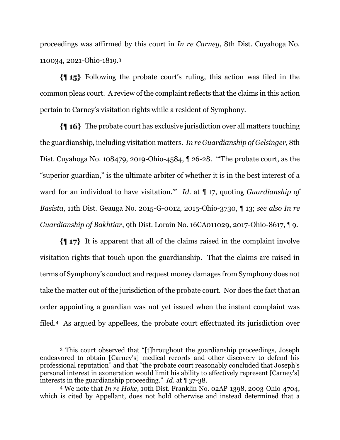proceedings was affirmed by this court in *In re Carney*, 8th Dist. Cuyahoga No. 110034, 2021-Ohio-1819.<sup>3</sup>

Following the probate court's ruling, this action was filed in the common pleas court. A review of the complaint reflects that the claims in this action pertain to Carney's visitation rights while a resident of Symphony.

The probate court has exclusive jurisdiction over all matters touching the guardianship, including visitation matters. *In re Guardianship of Gelsinger*, 8th Dist. Cuyahoga No. 108479, 2019-Ohio-4584, ¶ 26-28. "'The probate court, as the "superior guardian," is the ultimate arbiter of whether it is in the best interest of a ward for an individual to have visitation.'" *Id*. at ¶ 17, quoting *Guardianship of Basista*, 11th Dist. Geauga No. 2015-G-0012, 2015-Ohio-3730, ¶ 13; *see also In re Guardianship of Bakhtiar*, 9th Dist. Lorain No. 16CA011029, 2017-Ohio-8617, ¶ 9.

 $\{\parallel 17\}$  It is apparent that all of the claims raised in the complaint involve visitation rights that touch upon the guardianship. That the claims are raised in terms of Symphony's conduct and request money damages from Symphony does not take the matter out of the jurisdiction of the probate court. Nor does the fact that an order appointing a guardian was not yet issued when the instant complaint was filed.4 As argued by appellees, the probate court effectuated its jurisdiction over

<sup>3</sup> This court observed that "[t]hroughout the guardianship proceedings, Joseph endeavored to obtain [Carney's] medical records and other discovery to defend his professional reputation" and that "the probate court reasonably concluded that Joseph's personal interest in exoneration would limit his ability to effectively represent [Carney's] interests in the guardianship proceeding." *Id*. at ¶ 37-38.

<sup>4</sup> We note that *In re Hoke*, 10th Dist. Franklin No. 02AP-1398, 2003-Ohio-4704, which is cited by Appellant, does not hold otherwise and instead determined that a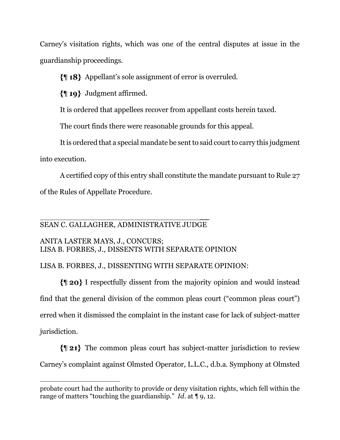Carney's visitation rights, which was one of the central disputes at issue in the guardianship proceedings.

Appellant's sole assignment of error is overruled.

 $\{ \parallel 19 \}$  Judgment affirmed.

It is ordered that appellees recover from appellant costs herein taxed.

The court finds there were reasonable grounds for this appeal.

It is ordered that a special mandate be sent to said court to carry this judgment

into execution.

A certified copy of this entry shall constitute the mandate pursuant to Rule 27 of the Rules of Appellate Procedure.

 $\overline{\phantom{a}}$ SEAN C. GALLAGHER, ADMINISTRATIVE JUDGE

# ANITA LASTER MAYS, J., CONCURS; LISA B. FORBES, J., DISSENTS WITH SEPARATE OPINION

# LISA B. FORBES, J., DISSENTING WITH SEPARATE OPINION:

I respectfully dissent from the majority opinion and would instead find that the general division of the common pleas court ("common pleas court") erred when it dismissed the complaint in the instant case for lack of subject-matter jurisdiction.

The common pleas court has subject-matter jurisdiction to review Carney's complaint against Olmsted Operator, L.L.C., d.b.a. Symphony at Olmsted

probate court had the authority to provide or deny visitation rights, which fell within the range of matters "touching the guardianship." *Id*. at ¶ 9, 12.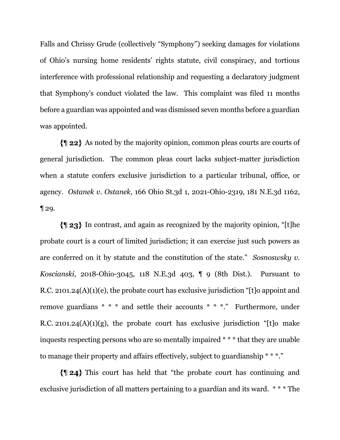Falls and Chrissy Grude (collectively "Symphony") seeking damages for violations of Ohio's nursing home residents' rights statute, civil conspiracy, and tortious interference with professional relationship and requesting a declaratory judgment that Symphony's conduct violated the law. This complaint was filed 11 months before a guardian was appointed and was dismissed seven months before a guardian was appointed.

As noted by the majority opinion, common pleas courts are courts of general jurisdiction. The common pleas court lacks subject-matter jurisdiction when a statute confers exclusive jurisdiction to a particular tribunal, office, or agency. *Ostanek v. Ostanek*, 166 Ohio St.3d 1, 2021-Ohio-2319, 181 N.E.3d 1162, ¶ 29.

In contrast, and again as recognized by the majority opinion, "[t]he probate court is a court of limited jurisdiction; it can exercise just such powers as are conferred on it by statute and the constitution of the state." *Sosnoswsky v. Koscianski*, 2018-Ohio-3045, 118 N.E.3d 403, ¶ 9 (8th Dist.). Pursuant to R.C. 2101.24(A)(1)(e), the probate court has exclusive jurisdiction "[t]o appoint and remove guardians \* \* \* and settle their accounts \* \* \*." Furthermore, under R.C. 2101.24 $(A)(1)(g)$ , the probate court has exclusive jurisdiction "[t]o make inquests respecting persons who are so mentally impaired \* \* \* that they are unable to manage their property and affairs effectively, subject to guardianship \* \* \*."

This court has held that "the probate court has continuing and exclusive jurisdiction of all matters pertaining to a guardian and its ward. \* \* \* The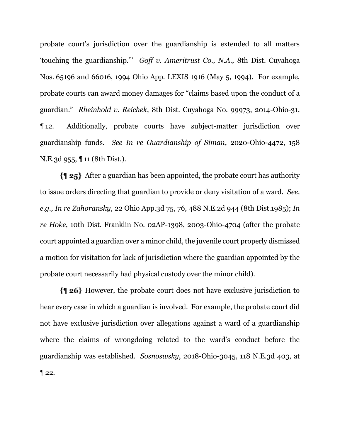probate court's jurisdiction over the guardianship is extended to all matters 'touching the guardianship."' *Goff v. Ameritrust Co., N.A.,* 8th Dist. Cuyahoga Nos. 65196 and 66016, 1994 Ohio App. LEXIS 1916 (May 5, 1994). For example, probate courts can award money damages for "claims based upon the conduct of a guardian." *Rheinhold v. Reichek*, 8th Dist. Cuyahoga No. 99973, 2014-Ohio-31, ¶ 12. Additionally, probate courts have subject-matter jurisdiction over guardianship funds. *See In re Guardianship of Siman*, 2020-Ohio-4472, 158 N.E.3d 955, ¶ 11 (8th Dist.).

After a guardian has been appointed, the probate court has authority to issue orders directing that guardian to provide or deny visitation of a ward. *See, e.g., In re Zahoransky*, 22 Ohio App.3d 75, 76, 488 N.E.2d 944 (8th Dist.1985); *In re Hoke*, 10th Dist. Franklin No. 02AP-1398, 2003-Ohio-4704 (after the probate court appointed a guardian over a minor child, the juvenile court properly dismissed a motion for visitation for lack of jurisdiction where the guardian appointed by the probate court necessarily had physical custody over the minor child).

However, the probate court does not have exclusive jurisdiction to hear every case in which a guardian is involved. For example, the probate court did not have exclusive jurisdiction over allegations against a ward of a guardianship where the claims of wrongdoing related to the ward's conduct before the guardianship was established. *Sosnoswsky*, 2018-Ohio-3045, 118 N.E.3d 403, at  $\P$  22.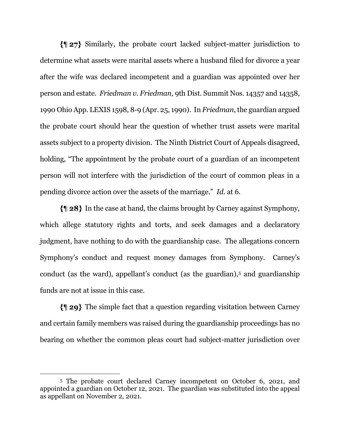Similarly, the probate court lacked subject-matter jurisdiction to determine what assets were marital assets where a husband filed for divorce a year after the wife was declared incompetent and a guardian was appointed over her person and estate. *Friedman v. Friedman,* 9th Dist. Summit Nos. 14357 and 14358, 1990 Ohio App. LEXIS 1598, 8-9 (Apr. 25, 1990). In *Friedman*, the guardian argued the probate court should hear the question of whether trust assets were marital assets subject to a property division. The Ninth District Court of Appeals disagreed, holding, "The appointment by the probate court of a guardian of an incompetent person will not interfere with the jurisdiction of the court of common pleas in a pending divorce action over the assets of the marriage." *Id.* at 6.

In the case at hand, the claims brought by Carney against Symphony, which allege statutory rights and torts, and seek damages and a declaratory judgment, have nothing to do with the guardianship case. The allegations concern Symphony's conduct and request money damages from Symphony. Carney's conduct (as the ward), appellant's conduct (as the guardian),<sup>5</sup> and guardianship funds are not at issue in this case.

The simple fact that a question regarding visitation between Carney and certain family members was raised during the guardianship proceedings has no bearing on whether the common pleas court had subject-matter jurisdiction over

<sup>5</sup> The probate court declared Carney incompetent on October 6, 2021, and appointed a guardian on October 12, 2021. The guardian was substituted into the appeal as appellant on November 2, 2021.